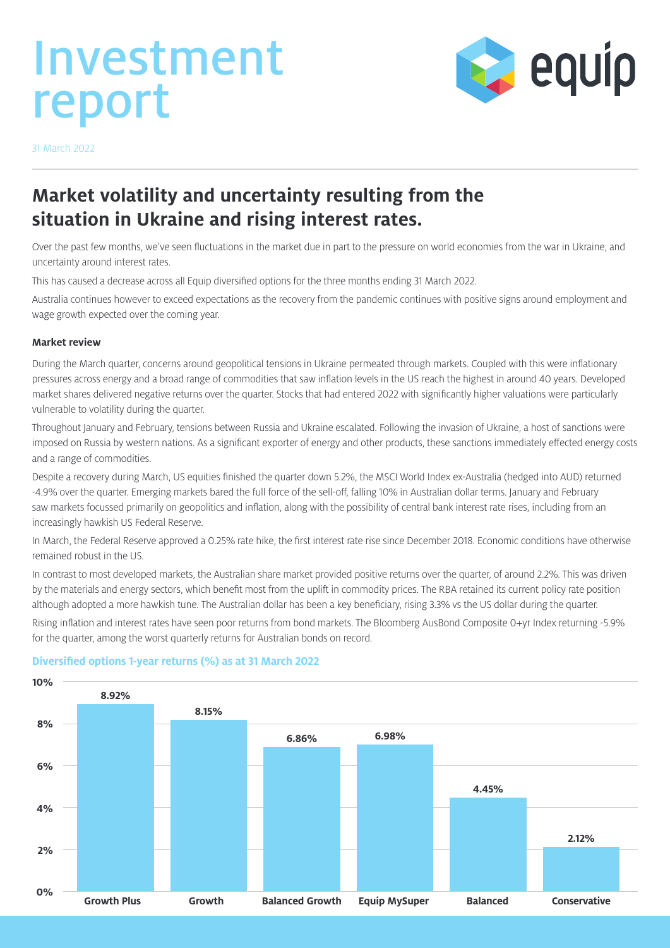# Investment report



31 March 2022

# **Market volatility and uncertainty resulting from the situation in Ukraine and rising interest rates.**

Over the past few months, we've seen fluctuations in the market due in part to the pressure on world economies from the war in Ukraine, and uncertainty around interest rates.

This has caused a decrease across all Equip diversified options for the three months ending 31 March 2022.

Australia continues however to exceed expectations as the recovery from the pandemic continues with positive signs around employment and wage growth expected over the coming year.

#### **Market review**

During the March quarter, concerns around geopolitical tensions in Ukraine permeated through markets. Coupled with this were inflationary pressures across energy and a broad range of commodities that saw inflation levels in the US reach the highest in around 40 years. Developed market shares delivered negative returns over the quarter. Stocks that had entered 2022 with significantly higher valuations were particularly vulnerable to volatility during the quarter.

Throughout January and February, tensions between Russia and Ukraine escalated. Following the invasion of Ukraine, a host of sanctions were imposed on Russia by western nations. As a significant exporter of energy and other products, these sanctions immediately effected energy costs and a range of commodities.

Despite a recovery during March, US equities finished the quarter down 5.2%, the MSCI World Index ex-Australia (hedged into AUD) returned -4.9% over the quarter. Emerging markets bared the full force of the sell-off, falling 10% in Australian dollar terms. January and February saw markets focussed primarily on geopolitics and inflation, along with the possibility of central bank interest rate rises, including from an increasingly hawkish US Federal Reserve.

In March, the Federal Reserve approved a 0.25% rate hike, the first interest rate rise since December 2018. Economic conditions have otherwise remained robust in the US.

In contrast to most developed markets, the Australian share market provided positive returns over the quarter, of around 2.2%. This was driven by the materials and energy sectors, which benefit most from the uplift in commodity prices. The RBA retained its current policy rate position although adopted a more hawkish tune. The Australian dollar has been a key beneficiary, rising 3.3% vs the US dollar during the quarter. Rising inflation and interest rates have seen poor returns from bond markets. The Bloomberg AusBond Composite 0+yr Index returning -5.9% for the quarter, among the worst quarterly returns for Australian bonds on record.



#### **Diversified options 1-year returns (%) as at 31 March 2022**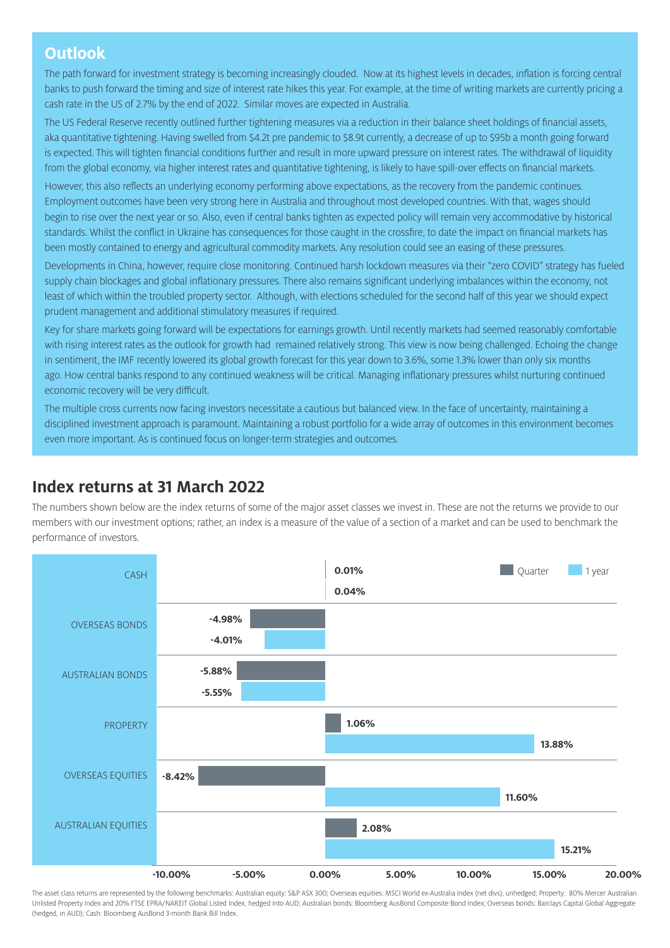## **Outlook**

The path forward for investment strategy is becoming increasingly clouded. Now at its highest levels in decades, inflation is forcing central banks to push forward the timing and size of interest rate hikes this year. For example, at the time of writing markets are currently pricing a cash rate in the US of 2.7% by the end of 2022. Similar moves are expected in Australia.

The US Federal Reserve recently outlined further tightening measures via a reduction in their balance sheet holdings of financial assets, aka quantitative tightening. Having swelled from \$4.2t pre pandemic to \$8.9t currently, a decrease of up to \$95b a month going forward is expected. This will tighten financial conditions further and result in more upward pressure on interest rates. The withdrawal of liquidity from the global economy, via higher interest rates and quantitative tightening, is likely to have spill-over effects on financial markets.

However, this also reflects an underlying economy performing above expectations, as the recovery from the pandemic continues. Employment outcomes have been very strong here in Australia and throughout most developed countries. With that, wages should begin to rise over the next year or so. Also, even if central banks tighten as expected policy will remain very accommodative by historical standards. Whilst the conflict in Ukraine has consequences for those caught in the crossfire, to date the impact on financial markets has been mostly contained to energy and agricultural commodity markets. Any resolution could see an easing of these pressures.

Developments in China, however, require close monitoring. Continued harsh lockdown measures via their "zero COVID" strategy has fueled supply chain blockages and global inflationary pressures. There also remains significant underlying imbalances within the economy, not least of which within the troubled property sector. Although, with elections scheduled for the second half of this year we should expect prudent management and additional stimulatory measures if required.

Key for share markets going forward will be expectations for earnings growth. Until recently markets had seemed reasonably comfortable with rising interest rates as the outlook for growth had remained relatively strong. This view is now being challenged. Echoing the change in sentiment, the IMF recently lowered its global growth forecast for this year down to 3.6%, some 1.3% lower than only six months ago. How central banks respond to any continued weakness will be critical. Managing inflationary pressures whilst nurturing continued economic recovery will be very difficult.

The multiple cross currents now facing investors necessitate a cautious but balanced view. In the face of uncertainty, maintaining a disciplined investment approach is paramount. Maintaining a robust portfolio for a wide array of outcomes in this environment becomes even more important. As is continued focus on longer-term strategies and outcomes.

# **Index returns at 31 March 2022**

The numbers shown below are the index returns of some of the major asset classes we invest in. These are not the returns we provide to our members with our investment options; rather, an index is a measure of the value of a section of a market and can be used to benchmark the performance of investors.



The asset class returns are represented by the following benchmarks: Australian equity: S&P ASX 300; Overseas equities: MSCI World ex-Australia Index (net divs), unhedged; Property: 80% Mercer Australian Unlisted Property Index and 20% FTSE EPRA/NAREIT Global Listed Index, hedged into AUD; Australian bonds: Bloomberg AusBond Composite Bond Index; Overseas bonds: Barclays Capital Global Aggregate (hedged, in AUD); Cash: Bloomberg AusBond 3-month Bank Bill Index.